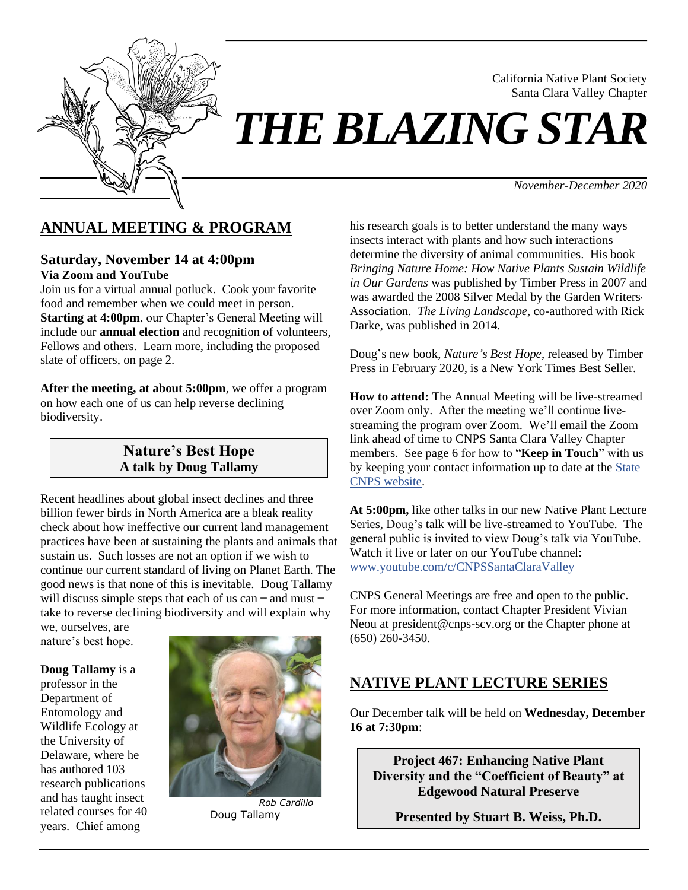

# Santa Clara Valley Chapter *THE BLAZING STAR*

*November-December 2020*

California Native Plant Society

# **ANNUAL MEETING & PROGRAM**

#### **Saturday, November 14 at 4:00pm Via Zoom and YouTube**

Join us for a virtual annual potluck. Cook your favorite food and remember when we could meet in person. **Starting at 4:00pm**, our Chapter's General Meeting will include our **annual election** and recognition of volunteers, Fellows and others. Learn more, including the proposed slate of officers, on page 2.

**After the meeting, at about 5:00pm**, we offer a program on how each one of us can help reverse declining biodiversity.

#### **Nature's Best Hope A talk by Doug Tallamy**

Recent headlines about global insect declines and three billion fewer birds in North America are a bleak reality check about how ineffective our current land management practices have been at sustaining the plants and animals that sustain us. Such losses are not an option if we wish to continue our current standard of living on Planet Earth. The good news is that none of this is inevitable. Doug Tallamy will discuss simple steps that each of us can  $-$  and must  $$ take to reverse declining biodiversity and will explain why we, ourselves, are

nature's best hope.

**Doug Tallamy** is a professor in the Department of Entomology and Wildlife Ecology at the University of Delaware, where he has authored 103 research publications and has taught insect related courses for 40 years. Chief among



*Rob Cardillo* Doug Tallamy

his research goals is to better understand the many ways insects interact with plants and how such interactions determine the diversity of animal communities. His book *Bringing Nature Home: How Native Plants Sustain Wildlife in Our Gardens* was published by Timber Press in 2007 and was awarded the 2008 Silver Medal by the Garden Writers' Association. *The Living Landscape*, co-authored with Rick Darke, was published in 2014.

Doug's new book, *Nature's Best Hope*, released by Timber Press in February 2020, is a New York Times Best Seller.

**How to attend:** The Annual Meeting will be live-streamed over Zoom only. After the meeting we'll continue livestreaming the program over Zoom. We'll email the Zoom link ahead of time to CNPS Santa Clara Valley Chapter members. See page 6 for how to "**Keep in Touch**" with us by keeping your contact information up to date at the [State](https://www.cnps.org/)  [CNPS website.](https://www.cnps.org/)

**At 5:00pm,** like other talks in our new Native Plant Lecture Series, Doug's talk will be live-streamed to YouTube. The general public is invited to view Doug's talk via YouTube. Watch it live or later on our YouTube channel: [www.youtube.com/c/CNPSSantaClaraValley](https://www.youtube.com/c/CNPSSantaClaraValley)

CNPS General Meetings are free and open to the public. For more information, contact Chapter President Vivian Neou at president@cnps-scv.org or the Chapter phone at (650) 260-3450.

# **NATIVE PLANT LECTURE SERIES**

Our December talk will be held on **Wednesday, December 16 at 7:30pm**:

**Project 467: Enhancing Native Plant Diversity and the "Coefficient of Beauty" at Edgewood Natural Preserve**

**Presented by Stuart B. Weiss, Ph.D.**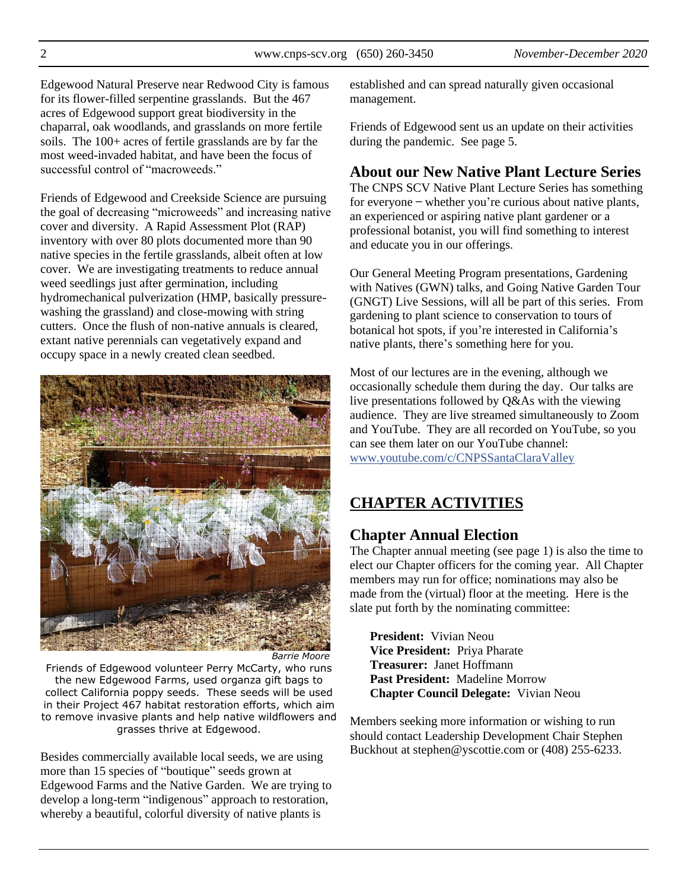Edgewood Natural Preserve near Redwood City is famous for its flower-filled serpentine grasslands. But the 467 acres of Edgewood support great biodiversity in the chaparral, oak woodlands, and grasslands on more fertile soils. The 100+ acres of fertile grasslands are by far the most weed-invaded habitat, and have been the focus of successful control of "macroweeds."

Friends of Edgewood and Creekside Science are pursuing the goal of decreasing "microweeds" and increasing native cover and diversity. A Rapid Assessment Plot (RAP) inventory with over 80 plots documented more than 90 native species in the fertile grasslands, albeit often at low cover. We are investigating treatments to reduce annual weed seedlings just after germination, including hydromechanical pulverization (HMP, basically pressurewashing the grassland) and close-mowing with string cutters. Once the flush of non-native annuals is cleared, extant native perennials can vegetatively expand and occupy space in a newly created clean seedbed.



*Barrie Moore*

Friends of Edgewood volunteer Perry McCarty, who runs the new Edgewood Farms, used organza gift bags to collect California poppy seeds. These seeds will be used in their Project 467 habitat restoration efforts, which aim to remove invasive plants and help native wildflowers and grasses thrive at Edgewood.

Besides commercially available local seeds, we are using more than 15 species of "boutique" seeds grown at Edgewood Farms and the Native Garden. We are trying to develop a long-term "indigenous" approach to restoration, whereby a beautiful, colorful diversity of native plants is

established and can spread naturally given occasional management.

Friends of Edgewood sent us an update on their activities during the pandemic. See page 5.

# **About our New Native Plant Lecture Series**

The CNPS SCV Native Plant Lecture Series has something for everyone — whether you're curious about native plants, an experienced or aspiring native plant gardener or a professional botanist, you will find something to interest and educate you in our offerings.

Our General Meeting Program presentations, Gardening with Natives (GWN) talks, and Going Native Garden Tour (GNGT) Live Sessions, will all be part of this series. From gardening to plant science to conservation to tours of botanical hot spots, if you're interested in California's native plants, there's something here for you.

Most of our lectures are in the evening, although we occasionally schedule them during the day. Our talks are live presentations followed by Q&As with the viewing audience. They are live streamed simultaneously to Zoom and YouTube. They are all recorded on YouTube, so you can see them later on our YouTube channel: [www.youtube.com/c/CNPSSantaClaraValley](https://www.youtube.com/c/CNPSSantaClaraValley)

# **CHAPTER ACTIVITIES**

# **Chapter Annual Election**

The Chapter annual meeting (see page 1) is also the time to elect our Chapter officers for the coming year. All Chapter members may run for office; nominations may also be made from the (virtual) floor at the meeting. Here is the slate put forth by the nominating committee:

**President:** Vivian Neou **Vice President:** Priya Pharate **Treasurer:** Janet Hoffmann **Past President:** Madeline Morrow **Chapter Council Delegate:** Vivian Neou

Members seeking more information or wishing to run should contact Leadership Development Chair Stephen Buckhout at stephen@yscottie.com or (408) 255-6233.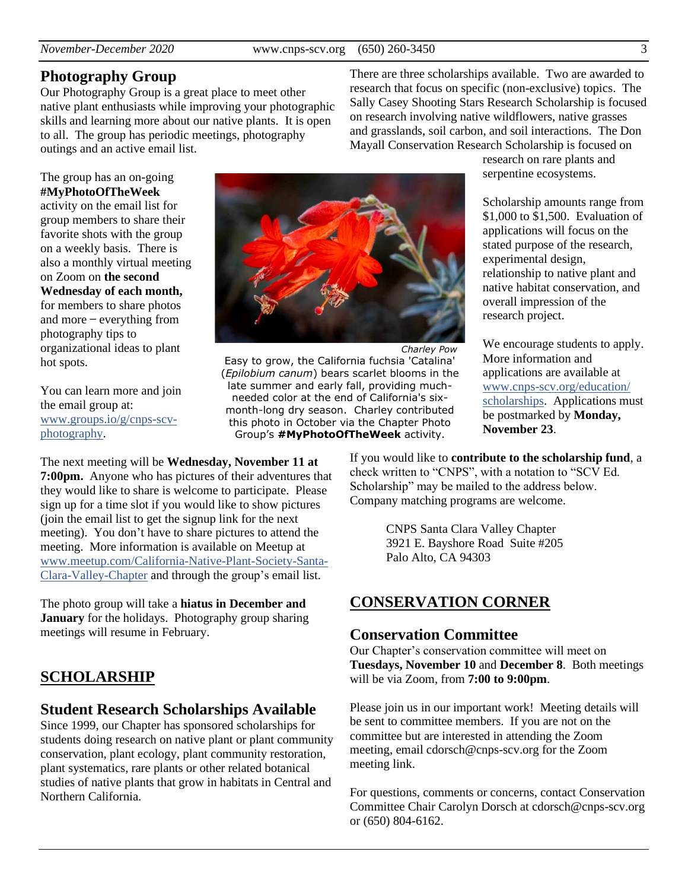### **Photography Group**

Our Photography Group is a great place to meet other native plant enthusiasts while improving your photographic skills and learning more about our native plants. It is open to all. The group has periodic meetings, photography outings and an active email list.

The group has an on-going **#MyPhotoOfTheWeek**

activity on the email list for group members to share their favorite shots with the group on a weekly basis. There is also a monthly virtual meeting on Zoom on **the second Wednesday of each month,** for members to share photos and more  $-$  everything from photography tips to organizational ideas to plant hot spots.

You can learn more and join the email group at: [www.groups.io/g/cnps-scv](https://www.groups.io/g/CNPS-SCV-Photography)[photography.](https://www.groups.io/g/CNPS-SCV-Photography)



*Charley Pow* Easy to grow, the California fuchsia 'Catalina' (*Epilobium canum*) bears scarlet blooms in the late summer and early fall, providing muchneeded color at the end of California's sixmonth-long dry season. Charley contributed this photo in October via the Chapter Photo Group's **#MyPhotoOfTheWeek** activity.

Mayall Conservation Research Scholarship is focused on research on rare plants and serpentine ecosystems.

There are three scholarships available. Two are awarded to research that focus on specific (non-exclusive) topics. The Sally Casey Shooting Stars Research Scholarship is focused on research involving native wildflowers, native grasses and grasslands, soil carbon, and soil interactions. The Don

> Scholarship amounts range from \$1,000 to \$1,500. Evaluation of applications will focus on the stated purpose of the research, experimental design, relationship to native plant and native habitat conservation, and overall impression of the research project.

> We encourage students to apply. More information and applications are available at [www.cnps-scv.org/education/](http://www.cnps-scv.org/education/scholarships) [scholarships.](http://www.cnps-scv.org/education/scholarships) Applications must be postmarked by **Monday, November 23**.

The next meeting will be **Wednesday, November 11 at 7:00pm.** Anyone who has pictures of their adventures that they would like to share is welcome to participate. Please sign up for a time slot if you would like to show pictures (join the email list to get the signup link for the next meeting). You don't have to share pictures to attend the meeting. More information is available on Meetup at [www.meetup.com/California-Native-Plant-Society-Santa-](https://www.meetup.com/California-Native-Plant-Society-Santa-Clara-Valley-Chapter/)[Clara-Valley-Chapter](https://www.meetup.com/California-Native-Plant-Society-Santa-Clara-Valley-Chapter/) and through the group's email list.

The photo group will take a **hiatus in December and January** for the holidays. Photography group sharing meetings will resume in February.

# **SCHOLARSHIP**

### **Student Research Scholarships Available**

Since 1999, our Chapter has sponsored scholarships for students doing research on native plant or plant community conservation, plant ecology, plant community restoration, plant systematics, rare plants or other related botanical studies of native plants that grow in habitats in Central and Northern California.

If you would like to **contribute to the scholarship fund**, a check written to "CNPS", with a notation to "SCV Ed. Scholarship" may be mailed to the address below. Company matching programs are welcome.

> CNPS Santa Clara Valley Chapter 3921 E. Bayshore Road Suite #205 Palo Alto, CA 94303

# **CONSERVATION CORNER**

#### **Conservation Committee**

Our Chapter's conservation committee will meet on **Tuesdays, November 10** and **December 8**. Both meetings will be via Zoom, from **7:00 to 9:00pm**.

Please join us in our important work! Meeting details will be sent to committee members. If you are not on the committee but are interested in attending the Zoom meeting, email cdorsch@cnps-scv.org for the Zoom meeting link.

For questions, comments or concerns, contact Conservation Committee Chair Carolyn Dorsch at cdorsch@cnps-scv.org or (650) 804-6162.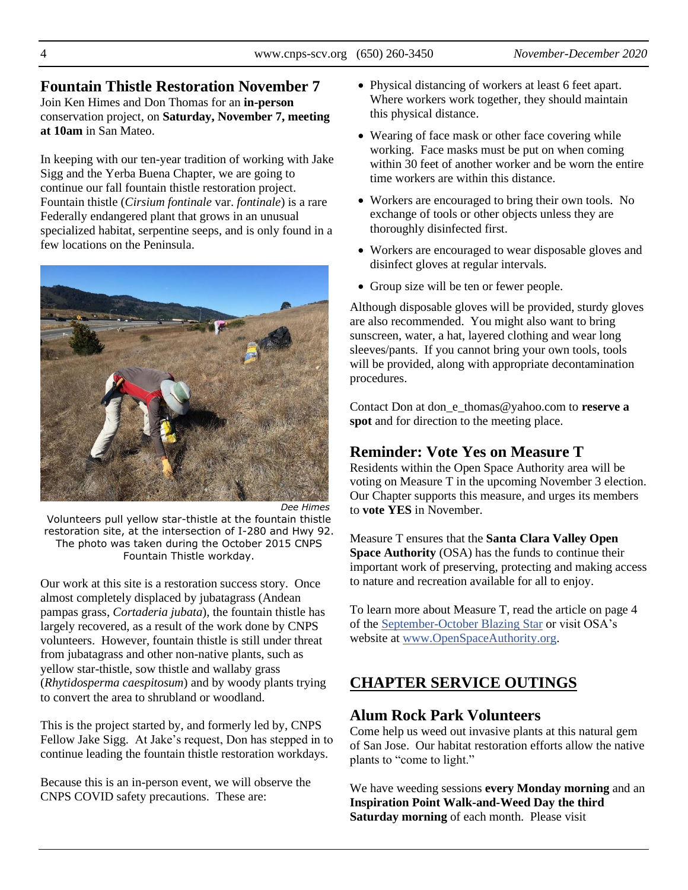#### **Fountain Thistle Restoration November 7** Join Ken Himes and Don Thomas for an **in-person** conservation project, on **Saturday, November 7, meeting**

In keeping with our ten-year tradition of working with Jake Sigg and the Yerba Buena Chapter, we are going to continue our fall fountain thistle restoration project. Fountain thistle (*Cirsium fontinale* var. *fontinale*) is a rare Federally endangered plant that grows in an unusual specialized habitat, serpentine seeps, and is only found in a few locations on the Peninsula.



*Dee Himes* Volunteers pull yellow star-thistle at the fountain thistle restoration site, at the intersection of I-280 and Hwy 92. The photo was taken during the October 2015 CNPS Fountain Thistle workday.

Our work at this site is a restoration success story. Once almost completely displaced by jubatagrass (Andean pampas grass, *Cortaderia jubata*), the fountain thistle has largely recovered, as a result of the work done by CNPS volunteers. However, fountain thistle is still under threat from jubatagrass and other non-native plants, such as yellow star-thistle, sow thistle and wallaby grass (*Rhytidosperma caespitosum*) and by woody plants trying to convert the area to shrubland or woodland.

This is the project started by, and formerly led by, CNPS Fellow Jake Sigg. At Jake's request, Don has stepped in to continue leading the fountain thistle restoration workdays.

Because this is an in-person event, we will observe the CNPS COVID safety precautions. These are:

- Physical distancing of workers at least 6 feet apart. Where workers work together, they should maintain this physical distance.
- Wearing of face mask or other face covering while working. Face masks must be put on when coming within 30 feet of another worker and be worn the entire time workers are within this distance.
- Workers are encouraged to bring their own tools. No exchange of tools or other objects unless they are thoroughly disinfected first.
- Workers are encouraged to wear disposable gloves and disinfect gloves at regular intervals.
- Group size will be ten or fewer people.

Although disposable gloves will be provided, sturdy gloves are also recommended. You might also want to bring sunscreen, water, a hat, layered clothing and wear long sleeves/pants. If you cannot bring your own tools, tools will be provided, along with appropriate decontamination procedures.

Contact Don at don\_e\_thomas@yahoo.com to **reserve a spot** and for direction to the meeting place.

# **Reminder: Vote Yes on Measure T**

Residents within the Open Space Authority area will be voting on Measure T in the upcoming November 3 election. Our Chapter supports this measure, and urges its members to **vote YES** in November.

Measure T ensures that the **Santa Clara Valley Open Space Authority** (OSA) has the funds to continue their important work of preserving, protecting and making access to nature and recreation available for all to enjoy.

To learn more about Measure T, read the article on page 4 of the [September-October Blazing Star](http://www.cnps-scv.org/images/BlazingStar/blazing-star-sep-oct-2020.pdf) or visit OSA's website at [www.OpenSpaceAuthority.org.](https://www.openspaceauthority.org/community/measure-q/measure-t.html)

# **CHAPTER SERVICE OUTINGS**

# **Alum Rock Park Volunteers**

Come help us weed out invasive plants at this natural gem of San Jose. Our habitat restoration efforts allow the native plants to "come to light."

We have weeding sessions **every Monday morning** and an **Inspiration Point Walk-and-Weed Day the third Saturday morning** of each month. Please visit

**at 10am** in San Mateo.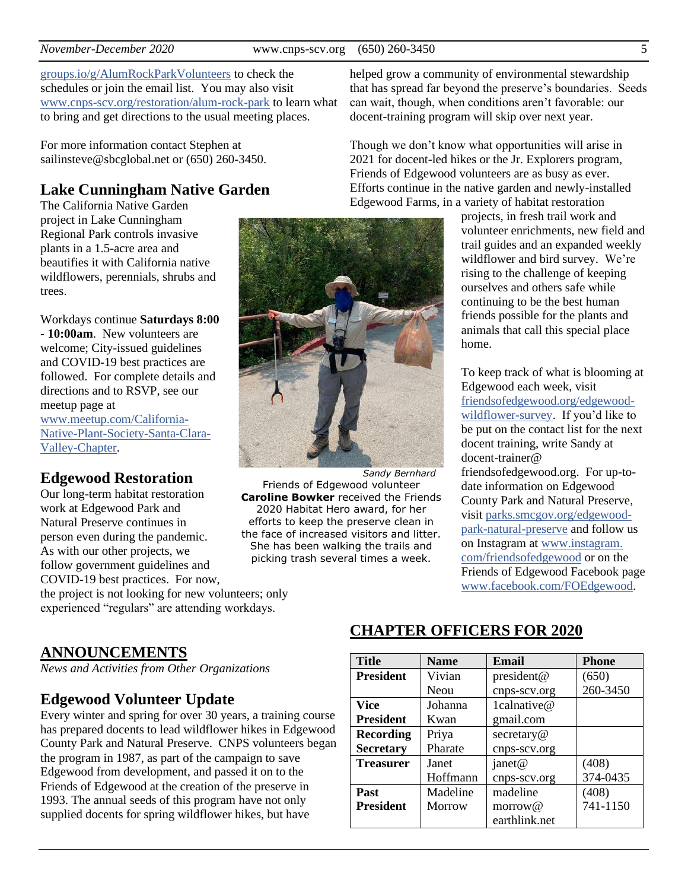[groups.io/g/AlumRockParkVolunteers](https://groups.io/g/AlumRockParkVolunteers) to check the schedules or join the email list. You may also visit [www.cnps-scv.org/restoration/alum-rock-park](http://www.cnps-scv.org/restoration/alum-rock-park) to learn what to bring and get directions to the usual meeting places.

For more information contact Stephen at sailinsteve@sbcglobal.net or (650) 260-3450.

### **Lake Cunningham Native Garden**

The California Native Garden project in Lake Cunningham Regional Park controls invasive plants in a 1.5-acre area and beautifies it with California native wildflowers, perennials, shrubs and trees.

Workdays continue **Saturdays 8:00 - 10:00am**. New volunteers are welcome; City-issued guidelines and COVID-19 best practices are followed. For complete details and directions and to RSVP, see our meetup page at [www.meetup.com/California-](https://www.meetup.com/California-Native-Plant-Society-Santa-Clara-Valley-Chapter/)[Native-Plant-Society-Santa-Clara-](https://www.meetup.com/California-Native-Plant-Society-Santa-Clara-Valley-Chapter/)[Valley-Chapter.](https://www.meetup.com/California-Native-Plant-Society-Santa-Clara-Valley-Chapter/)

#### **Edgewood Restoration**

Our long-term habitat restoration work at Edgewood Park and Natural Preserve continues in person even during the pandemic. As with our other projects, we follow government guidelines and COVID-19 best practices. For now, the project is not looking for new volunteers; only experienced "regulars" are attending workdays. Friends of Edgewood volunteer **Caroline Bowker** received the Friends 2020 Habitat Hero award, for her efforts to keep the preserve clean in the face of increased visitors and litter. She has been walking the trails and picking trash several times a week.

helped grow a community of environmental stewardship that has spread far beyond the preserve's boundaries. Seeds can wait, though, when conditions aren't favorable: our docent-training program will skip over next year.

Though we don't know what opportunities will arise in 2021 for docent-led hikes or the Jr. Explorers program, Friends of Edgewood volunteers are as busy as ever. Efforts continue in the native garden and newly-installed Edgewood Farms, in a variety of habitat restoration

> projects, in fresh trail work and volunteer enrichments, new field and trail guides and an expanded weekly wildflower and bird survey. We're rising to the challenge of keeping ourselves and others safe while continuing to be the best human friends possible for the plants and animals that call this special place home.

> To keep track of what is blooming at Edgewood each week, visit [friendsofedgewood.org/edgewood](https://friendsofedgewood.org/edgewood-wildflower-survey)[wildflower-survey.](https://friendsofedgewood.org/edgewood-wildflower-survey) If you'd like to be put on the contact list for the next docent training, write Sandy at docent-trainer@ friendsofedgewood.org. For up-todate information on Edgewood County Park and Natural Preserve, visit [parks.smcgov.org/edgewood](https://parks.smcgov.org/edgewood-park-natural-preserve)[park-natural-preserve](https://parks.smcgov.org/edgewood-park-natural-preserve) and follow us on Instagram at [www.instagram.](https://www.instagram.com/friendsofedgewood/) [com/friendsofedgewood](https://www.instagram.com/friendsofedgewood/) or on the Friends of Edgewood Facebook page [www.facebook.com/FOEdgewood.](https://www.facebook.com/FOEdgewood/)

**ANNOUNCEMENTS**

*News and Activities from Other Organizations*

### **Edgewood Volunteer Update**

Every winter and spring for over 30 years, a training course has prepared docents to lead wildflower hikes in Edgewood County Park and Natural Preserve. CNPS volunteers began the program in 1987, as part of the campaign to save Edgewood from development, and passed it on to the Friends of Edgewood at the creation of the preserve in 1993. The annual seeds of this program have not only supplied docents for spring wildflower hikes, but have

# **CHAPTER OFFICERS FOR 2020**

| <b>Title</b>     | <b>Name</b> | Email         | <b>Phone</b> |
|------------------|-------------|---------------|--------------|
| <b>President</b> | Vivian      | president@    | (650)        |
|                  | Neou        | cnps-scv.org  | 260-3450     |
| <b>Vice</b>      | Johanna     | 1calnative@   |              |
| <b>President</b> | Kwan        | gmail.com     |              |
| <b>Recording</b> | Priya       | secretary@    |              |
| <b>Secretary</b> | Pharate     | cnps-scv.org  |              |
| <b>Treasurer</b> | Janet       | janet@        | (408)        |
|                  | Hoffmann    | cnps-scv.org  | 374-0435     |
| <b>Past</b>      | Madeline    | madeline      | (408)        |
| <b>President</b> | Morrow      | morrow@       | 741-1150     |
|                  |             | earthlink.net |              |

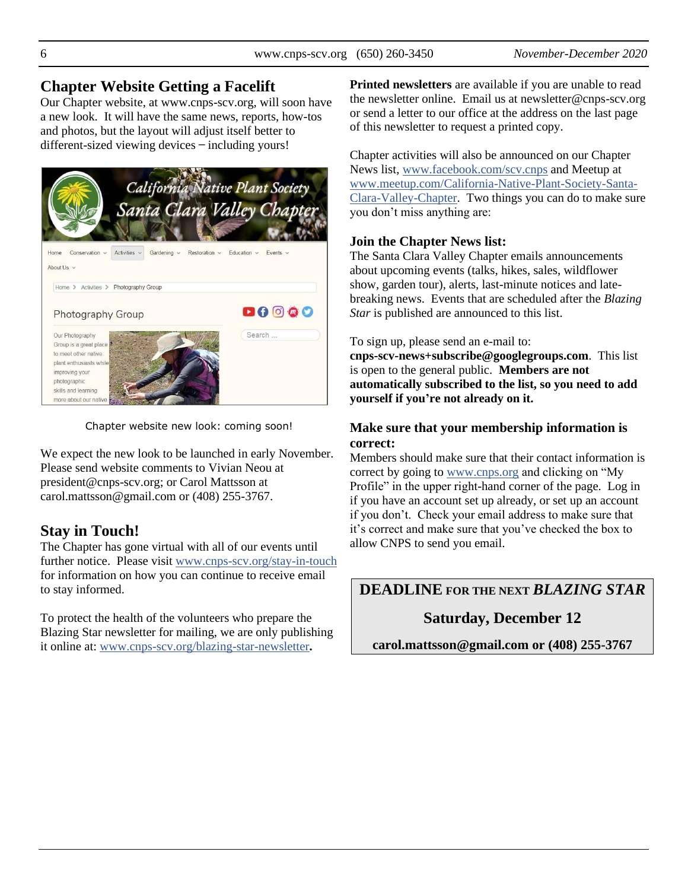### **Chapter Website Getting a Facelift**

Our Chapter website, at www.cnps-scv.org, will soon have a new look. It will have the same news, reports, how-tos and photos, but the layout will adjust itself better to different-sized viewing devices ̶ including yours!



Chapter website new look: coming soon!

We expect the new look to be launched in early November. Please send website comments to Vivian Neou at president@cnps-scv.org; or Carol Mattsson at carol.mattsson@gmail.com or (408) 255-3767.

# **Stay in Touch!**

The Chapter has gone virtual with all of our events until further notice. Please visit [www.cnps-scv.org/stay-in-touch](http://www.cnps-scv.org/stay-in-touch) for information on how you can continue to receive email to stay informed.

To protect the health of the volunteers who prepare the Blazing Star newsletter for mailing, we are only publishing it online at: [www.cnps-scv.org/blazing-star-newsletter](http://www.cnps-scv.org/blazing-star-newsletter)**.**

**Printed newsletters** are available if you are unable to read the newsletter online. Email us at newsletter@cnps-scv.org or send a letter to our office at the address on the last page of this newsletter to request a printed copy.

Chapter activities will also be announced on our Chapter News list, [www.facebook.com/scv.cnps](https://www.facebook.com/scv.cnps) and Meetup at [www.meetup.com/California-Native-Plant-Society-Santa-](https://www.meetup.com/California-Native-Plant-Society-Santa-Clara-Valley-Chapter/)[Clara-Valley-Chapter.](https://www.meetup.com/California-Native-Plant-Society-Santa-Clara-Valley-Chapter/) Two things you can do to make sure you don't miss anything are:

#### **Join the Chapter News list:**

The Santa Clara Valley Chapter emails announcements about upcoming events (talks, hikes, sales, wildflower show, garden tour), alerts, last-minute notices and latebreaking news. Events that are scheduled after the *Blazing Star* is published are announced to this list.

To sign up, please send an e-mail to:

**cnps-scv-news+subscribe@googlegroups.com**. This list is open to the general public. **Members are not automatically subscribed to the list, so you need to add yourself if you're not already on it.**

#### **Make sure that your membership information is correct:**

Members should make sure that their contact information is correct by going to [www.cnps.org](https://www.cnps.org/) and clicking on "My Profile" in the upper right-hand corner of the page. Log in if you have an account set up already, or set up an account if you don't. Check your email address to make sure that it's correct and make sure that you've checked the box to allow CNPS to send you email.

# **DEADLINE FOR THE NEXT** *BLAZING STAR*

# **Saturday, December 12**

**carol.mattsson@gmail.com or (408) 255-3767**